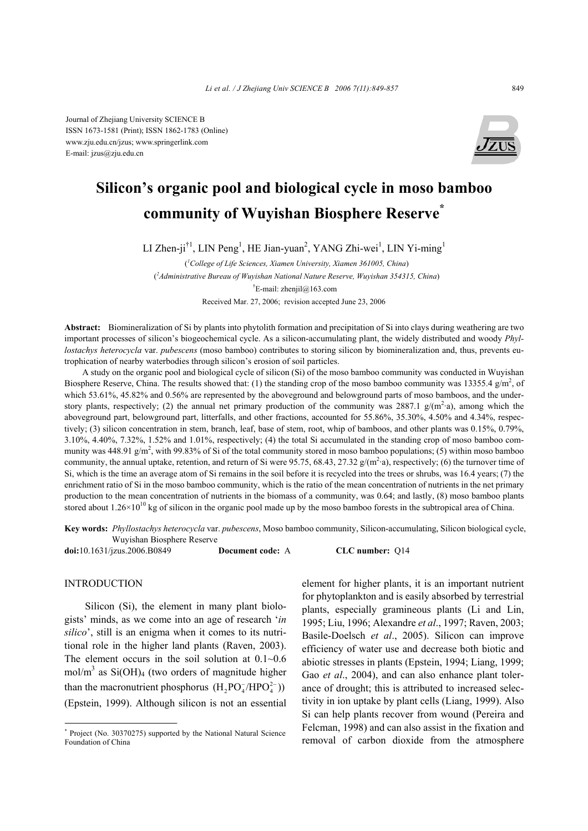

# **Silicon's organic pool and biological cycle in moso bamboo community of Wuyishan Biosphere Reserve\***

LI Zhen-ji<sup>†1</sup>, LIN Peng<sup>1</sup>, HE Jian-yuan<sup>2</sup>, YANG Zhi-wei<sup>1</sup>, LIN Yi-ming<sup>1</sup>

( *1 College of Life Sciences, Xiamen University, Xiamen 361005, China*) ( *2 Administrative Bureau of Wuyishan National Nature Reserve, Wuyishan 354315, China*) † E-mail: zhenjil@163.com Received Mar. 27, 2006; revision accepted June 23, 2006

**Abstract:** Biomineralization of Si by plants into phytolith formation and precipitation of Si into clays during weathering are two important processes of silicon's biogeochemical cycle. As a silicon-accumulating plant, the widely distributed and woody *Phyllostachys heterocycla* var. *pubescens* (moso bamboo) contributes to storing silicon by biomineralization and, thus, prevents eutrophication of nearby waterbodies through silicon's erosion of soil particles.

A study on the organic pool and biological cycle of silicon (Si) of the moso bamboo community was conducted in Wuyishan Biosphere Reserve, China. The results showed that: (1) the standing crop of the moso bamboo community was 13355.4  $g/m^2$ , of which 53.61%, 45.82% and 0.56% are represented by the aboveground and belowground parts of moso bamboos, and the understory plants, respectively; (2) the annual net primary production of the community was 2887.1  $g/(m^2.a)$ , among which the aboveground part, belowground part, litterfalls, and other fractions, accounted for 55.86%, 35.30%, 4.50% and 4.34%, respectively; (3) silicon concentration in stem, branch, leaf, base of stem, root, whip of bamboos, and other plants was 0.15%, 0.79%, 3.10%, 4.40%, 7.32%, 1.52% and 1.01%, respectively; (4) the total Si accumulated in the standing crop of moso bamboo community was 448.91  $g/m^2$ , with 99.83% of Si of the total community stored in moso bamboo populations; (5) within moso bamboo community, the annual uptake, retention, and return of Si were 95.75, 68.43, 27.32  $g/(m^2 \cdot a)$ , respectively; (6) the turnover time of Si, which is the time an average atom of Si remains in the soil before it is recycled into the trees or shrubs, was 16.4 years; (7) the enrichment ratio of Si in the moso bamboo community, which is the ratio of the mean concentration of nutrients in the net primary production to the mean concentration of nutrients in the biomass of a community, was 0.64; and lastly, (8) moso bamboo plants stored about  $1.26 \times 10^{10}$  kg of silicon in the organic pool made up by the moso bamboo forests in the subtropical area of China.

**Key words:** *Phyllostachys heterocycla* var. *pubescens*, Moso bamboo community, Silicon-accumulating, Silicon biological cycle, Wuyishan Biosphere Reserve

**doi:**10.1631/jzus.2006.B0849 **Document code:** A **CLC number:** Q14

#### INTRODUCTION

Silicon (Si), the element in many plant biologists' minds, as we come into an age of research '*in silico*', still is an enigma when it comes to its nutritional role in the higher land plants (Raven, 2003). The element occurs in the soil solution at  $0.1~0.6$ mol/m<sup>3</sup> as Si(OH)<sub>4</sub> (two orders of magnitude higher than the macronutrient phosphorus  $(H_2PO_4^-/HPO_4^{2-})$ ) (Epstein, 1999). Although silicon is not an essential

element for higher plants, it is an important nutrient for phytoplankton and is easily absorbed by terrestrial plants, especially gramineous plants (Li and Lin, 1995; Liu, 1996; Alexandre *et al*., 1997; Raven, 2003; Basile-Doelsch *et al*., 2005). Silicon can improve efficiency of water use and decrease both biotic and abiotic stresses in plants (Epstein, 1994; Liang, 1999; Gao *et al.*, 2004), and can also enhance plant tolerance of drought; this is attributed to increased selectivity in ion uptake by plant cells (Liang, 1999). Also Si can help plants recover from wound (Pereira and Felcman, 1998) and can also assist in the fixation and removal of carbon dioxide from the atmosphere

<sup>\*</sup> Project (No. 30370275) supported by the National Natural Science Foundation of China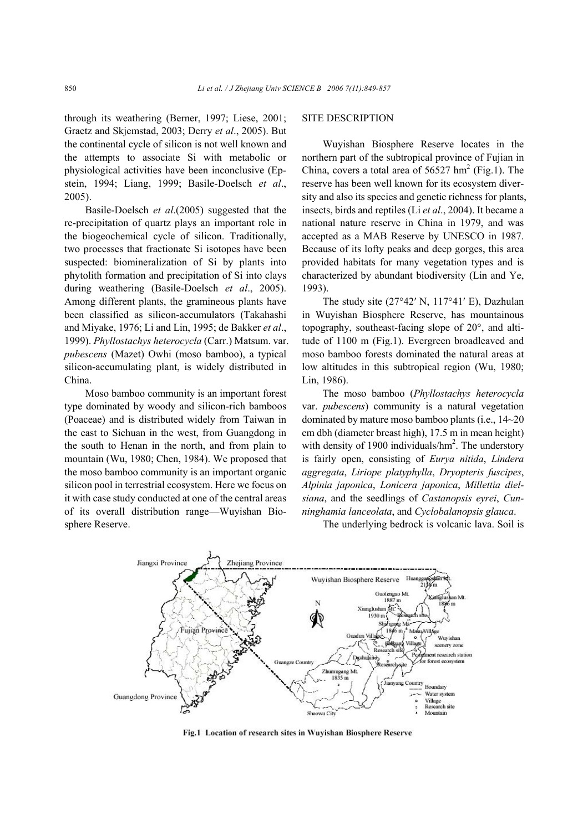through its weathering (Berner, 1997; Liese, 2001; Graetz and Skjemstad, 2003; Derry *et al*., 2005). But the continental cycle of silicon is not well known and the attempts to associate Si with metabolic or physiological activities have been inconclusive (Epstein, 1994; Liang, 1999; Basile-Doelsch *et al*., 2005).

Basile-Doelsch *et al*.(2005) suggested that the re-precipitation of quartz plays an important role in the biogeochemical cycle of silicon. Traditionally, two processes that fractionate Si isotopes have been suspected: biomineralization of Si by plants into phytolith formation and precipitation of Si into clays during weathering (Basile-Doelsch *et al*., 2005). Among different plants, the gramineous plants have been classified as silicon-accumulators (Takahashi and Miyake, 1976; Li and Lin, 1995; de Bakker *et al*., 1999). *Phyllostachys heterocycla* (Carr.) Matsum. var. *pubescens* (Mazet) Owhi (moso bamboo), a typical silicon-accumulating plant, is widely distributed in China.

Moso bamboo community is an important forest type dominated by woody and silicon-rich bamboos (Poaceae) and is distributed widely from Taiwan in the east to Sichuan in the west, from Guangdong in the south to Henan in the north, and from plain to mountain (Wu, 1980; Chen, 1984). We proposed that the moso bamboo community is an important organic silicon pool in terrestrial ecosystem. Here we focus on it with case study conducted at one of the central areas of its overall distribution range—Wuyishan Biosphere Reserve.

## SITE DESCRIPTION

Wuyishan Biosphere Reserve locates in the northern part of the subtropical province of Fujian in China, covers a total area of  $56527 \text{ hm}^2$  (Fig.1). The reserve has been well known for its ecosystem diversity and also its species and genetic richness for plants, insects, birds and reptiles (Li *et al*., 2004). It became a national nature reserve in China in 1979, and was accepted as a MAB Reserve by UNESCO in 1987. Because of its lofty peaks and deep gorges, this area provided habitats for many vegetation types and is characterized by abundant biodiversity (Lin and Ye, 1993).

The study site (27°42′ N, 117°41′ E), Dazhulan in Wuyishan Biosphere Reserve, has mountainous topography, southeast-facing slope of 20°, and altitude of 1100 m (Fig.1). Evergreen broadleaved and moso bamboo forests dominated the natural areas at low altitudes in this subtropical region (Wu, 1980; Lin, 1986).

The moso bamboo (*Phyllostachys heterocycla*  var. *pubescens*) community is a natural vegetation dominated by mature moso bamboo plants (i.e., 14~20 cm dbh (diameter breast high), 17.5 m in mean height) with density of 1900 individuals/ $\text{hm}^2$ . The understory is fairly open, consisting of *Eurya nitida*, *Lindera aggregata*, *Liriope platyphylla*, *Dryopteris fuscipes*, *Alpinia japonica*, *Lonicera japonica*, *Millettia dielsiana*, and the seedlings of *Castanopsis eyrei*, *Cunninghamia lanceolata*, and *Cyclobalanopsis glauca*.





Fig.1 Location of research sites in Wuyishan Biosphere Reserve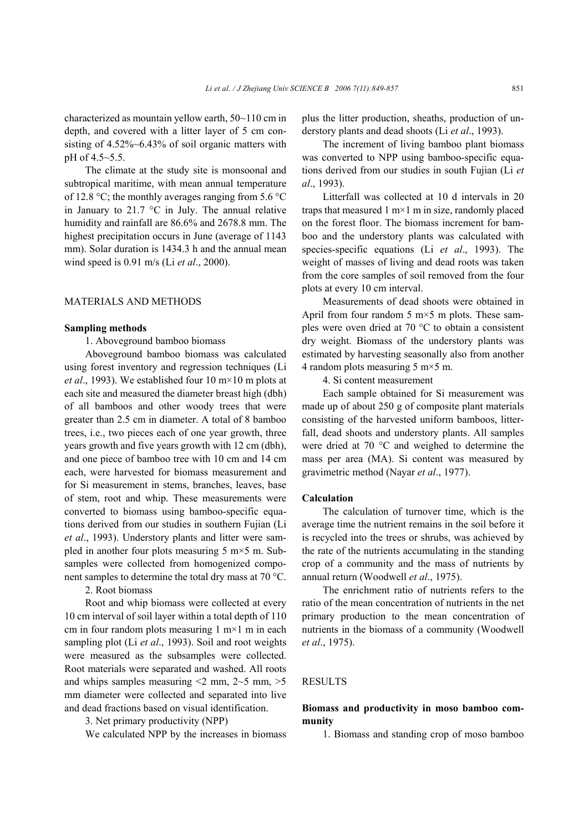characterized as mountain yellow earth, 50~110 cm in depth, and covered with a litter layer of 5 cm consisting of 4.52%~6.43% of soil organic matters with pH of 4.5~5.5.

The climate at the study site is monsoonal and subtropical maritime, with mean annual temperature of 12.8 °C; the monthly averages ranging from 5.6 °C in January to 21.7 °C in July. The annual relative humidity and rainfall are 86.6% and 2678.8 mm. The highest precipitation occurs in June (average of 1143 mm). Solar duration is 1434.3 h and the annual mean wind speed is 0.91 m/s (Li *et al*., 2000).

## MATERIALS AND METHODS

#### **Sampling methods**

1. Aboveground bamboo biomass

Aboveground bamboo biomass was calculated using forest inventory and regression techniques (Li *et al*., 1993). We established four 10 m×10 m plots at each site and measured the diameter breast high (dbh) of all bamboos and other woody trees that were greater than 2.5 cm in diameter. A total of 8 bamboo trees, i.e., two pieces each of one year growth, three years growth and five years growth with 12 cm (dbh), and one piece of bamboo tree with 10 cm and 14 cm each, were harvested for biomass measurement and for Si measurement in stems, branches, leaves, base of stem, root and whip. These measurements were converted to biomass using bamboo-specific equations derived from our studies in southern Fujian (Li *et al*., 1993). Understory plants and litter were sampled in another four plots measuring  $5 \text{ m} \times 5 \text{ m}$ . Subsamples were collected from homogenized component samples to determine the total dry mass at 70 °C.

2. Root biomass

Root and whip biomass were collected at every 10 cm interval of soil layer within a total depth of 110 cm in four random plots measuring  $1 \text{ m} \times 1 \text{ m}$  in each sampling plot (Li *et al*., 1993). Soil and root weights were measured as the subsamples were collected. Root materials were separated and washed. All roots and whips samples measuring  $\leq$  mm,  $2\neg$  mm,  $>$  5 mm diameter were collected and separated into live and dead fractions based on visual identification.

3. Net primary productivity (NPP)

We calculated NPP by the increases in biomass

plus the litter production, sheaths, production of understory plants and dead shoots (Li *et al*., 1993).

The increment of living bamboo plant biomass was converted to NPP using bamboo-specific equations derived from our studies in south Fujian (Li *et al*., 1993).

Litterfall was collected at 10 d intervals in 20 traps that measured  $1 \text{ m} \times 1 \text{ m}$  in size, randomly placed on the forest floor. The biomass increment for bamboo and the understory plants was calculated with species-specific equations (Li *et al*., 1993). The weight of masses of living and dead roots was taken from the core samples of soil removed from the four plots at every 10 cm interval.

Measurements of dead shoots were obtained in April from four random 5  $m \times 5$  m plots. These samples were oven dried at 70 °C to obtain a consistent dry weight. Biomass of the understory plants was estimated by harvesting seasonally also from another 4 random plots measuring 5 m×5 m.

4. Si content measurement

Each sample obtained for Si measurement was made up of about 250 g of composite plant materials consisting of the harvested uniform bamboos, litterfall, dead shoots and understory plants. All samples were dried at 70 °C and weighed to determine the mass per area (MA). Si content was measured by gravimetric method (Nayar *et al*., 1977).

#### **Calculation**

The calculation of turnover time, which is the average time the nutrient remains in the soil before it is recycled into the trees or shrubs, was achieved by the rate of the nutrients accumulating in the standing crop of a community and the mass of nutrients by annual return (Woodwell *et al*., 1975).

The enrichment ratio of nutrients refers to the ratio of the mean concentration of nutrients in the net primary production to the mean concentration of nutrients in the biomass of a community (Woodwell *et al*., 1975).

## RESULTS

## **Biomass and productivity in moso bamboo community**

1. Biomass and standing crop of moso bamboo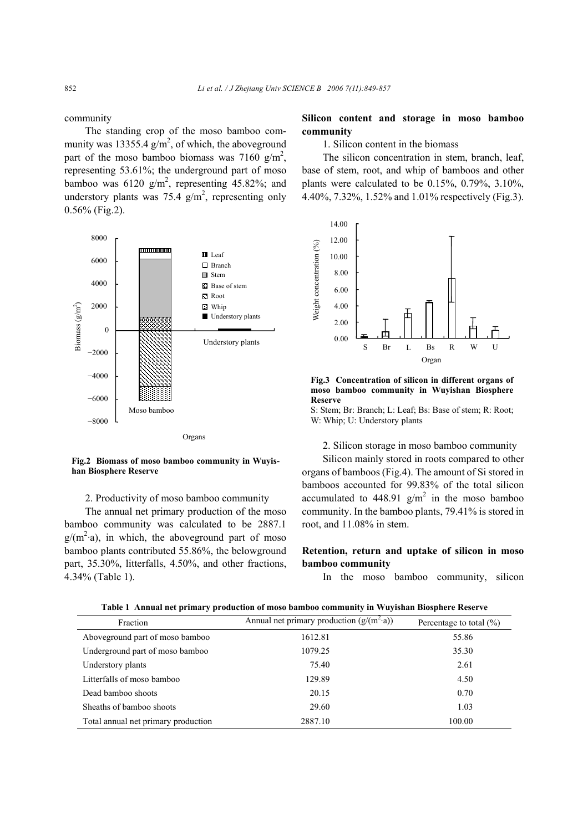community

The standing crop of the moso bamboo community was 13355.4  $g/m^2$ , of which, the aboveground part of the moso bamboo biomass was 7160  $g/m^2$ , representing 53.61%; the underground part of moso bamboo was  $6120 \text{ g/m}^2$ , representing 45.82%; and understory plants was 75.4  $g/m^2$ , representing only 0.56% (Fig.2).



**Fig.2 Biomass of moso bamboo community in Wuyishan Biosphere Reserve**

#### 2. Productivity of moso bamboo community

The annual net primary production of the moso bamboo community was calculated to be 2887.1  $g/(m^2 \cdot a)$ , in which, the aboveground part of moso bamboo plants contributed 55.86%, the belowground part, 35.30%, litterfalls, 4.50%, and other fractions, 4.34% (Table 1).

## **Silicon content and storage in moso bamboo community**

1. Silicon content in the biomass

The silicon concentration in stem, branch, leaf, base of stem, root, and whip of bamboos and other plants were calculated to be 0.15%, 0.79%, 3.10%, 4.40%, 7.32%, 1.52% and 1.01% respectively (Fig.3).



**Fig.3 Concentration of silicon in different organs of moso bamboo community in Wuyishan Biosphere Reserve** 

S: Stem; Br: Branch; L: Leaf; Bs: Base of stem; R: Root; W: Whip; U: Understory plants

#### 2. Silicon storage in moso bamboo community

Silicon mainly stored in roots compared to other organs of bamboos (Fig.4). The amount of Si stored in bamboos accounted for 99.83% of the total silicon accumulated to 448.91  $g/m^2$  in the moso bamboo community. In the bamboo plants, 79.41% is stored in root, and 11.08% in stem.

## **Retention, return and uptake of silicon in moso bamboo community**

In the moso bamboo community, silicon

| Fraction                            | Annual net primary production $(g/(m^2 \cdot a))$ | Percentage to total $(\% )$ |
|-------------------------------------|---------------------------------------------------|-----------------------------|
| Aboveground part of moso bamboo     | 1612.81                                           | 55.86                       |
| Underground part of moso bamboo     | 1079.25                                           | 35.30                       |
| Understory plants                   | 75.40                                             | 2.61                        |
| Litterfalls of moso bamboo          | 129.89                                            | 4.50                        |
| Dead bamboo shoots                  | 20.15                                             | 0.70                        |
| Sheaths of bamboo shoots            | 29.60                                             | 1.03                        |
| Total annual net primary production | 2887.10                                           | 100.00                      |

**Table 1 Annual net primary production of moso bamboo community in Wuyishan Biosphere Reserve**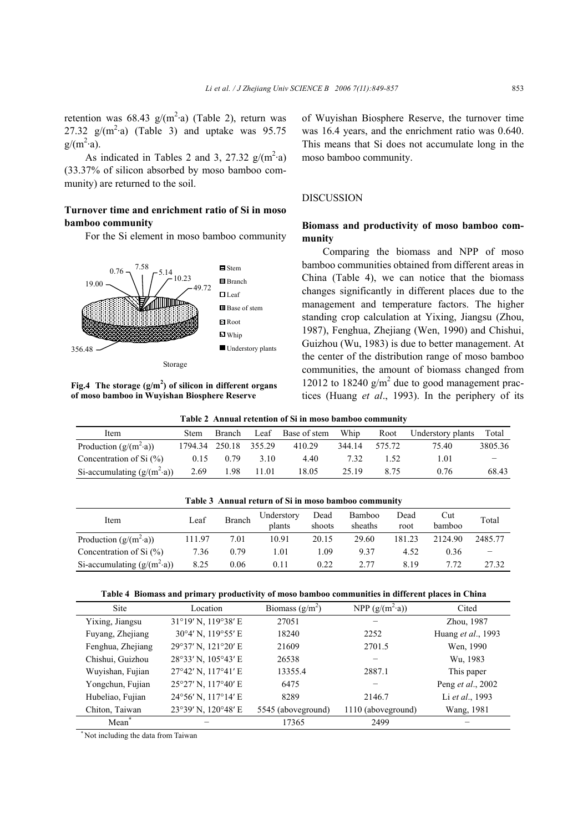retention was  $68.43 \text{ g/(m}^2 \text{·a)}$  (Table 2), return was 27.32  $g/(m^2 \cdot a)$  (Table 3) and uptake was 95.75  $g/(m^2 \cdot a)$ .

As indicated in Tables 2 and 3, 27.32  $g/(m^2 \cdot a)$ (33.37% of silicon absorbed by moso bamboo community) are returned to the soil.

# **Turnover time and enrichment ratio of Si in moso bamboo community**

For the Si element in moso bamboo community



Storage

**Fig.4 The storage (g/m<sup>2</sup> ) of silicon in different organs of moso bamboo in Wuyishan Biosphere Reserve**

of Wuyishan Biosphere Reserve, the turnover time was 16.4 years, and the enrichment ratio was 0.640. This means that Si does not accumulate long in the moso bamboo community.

## DISCUSSION

# **Biomass and productivity of moso bamboo community**

Comparing the biomass and NPP of moso bamboo communities obtained from different areas in China (Table 4), we can notice that the biomass changes significantly in different places due to the management and temperature factors. The higher standing crop calculation at Yixing, Jiangsu (Zhou, 1987), Fenghua, Zhejiang (Wen, 1990) and Chishui, Guizhou (Wu, 1983) is due to better management. At the center of the distribution range of moso bamboo communities, the amount of biomass changed from 12012 to 18240  $g/m^2$  due to good management practices (Huang *et al*., 1993). In the periphery of its

| Item                                | Stem    | Branch        | Leaf  | Base of stem | Whip   | Root   | Understory plants | Total   |
|-------------------------------------|---------|---------------|-------|--------------|--------|--------|-------------------|---------|
| Production $(g/(m^2 \cdot a))$      | 1794.34 | 250.18 355.29 |       | 410.29       | 344.14 | 575.72 | 75.40             | 3805.36 |
| Concentration of Si $(\% )$         | 0.15    | 0.79          | 3.10  | 4.40         | 7.32   | 1.52   | 1.01              | -       |
| Si-accumulating $(g/(m^2 \cdot a))$ | 2.69    | 1.98          | 11.01 | 18.05        | 25.19  | 8.75   | 0.76              | 68.43   |

|  |  |  |  | Table 2 Annual retention of Si in moso bamboo community |  |
|--|--|--|--|---------------------------------------------------------|--|
|  |  |  |  |                                                         |  |

| Table 3 Annual return of Si in moso bamboo community |        |               |                      |                |                   |              |               |         |
|------------------------------------------------------|--------|---------------|----------------------|----------------|-------------------|--------------|---------------|---------|
| Item                                                 | Leaf   | <b>Branch</b> | Understory<br>plants | Dead<br>shoots | Bamboo<br>sheaths | Dead<br>root | Cut<br>bamboo | Total   |
| Production $(g/(m^2 \cdot a))$                       | 111.97 | 7.01          | 10.91                | 20.15          | 29.60             | 181.23       | 2124.90       | 2485.77 |
| Concentration of Si $(\% )$                          | 7.36   | 0.79          | 1.01                 | 1.09           | 937               | 4.52         | 0.36          |         |
| Si-accumulating $(g/(m^2 \cdot a))$                  | 8.25   | 0.06          | 0.11                 | 0.22           | 2 77              | 8.19         | 7.72          | 27.32   |

#### **Table 4 Biomass and primary productivity of moso bamboo communities in different places in China**

| <b>Site</b>       | Location                              | Biomass $(g/m^2)$  | NPP $(g/(m^2 \cdot a))$ | Cited                     |
|-------------------|---------------------------------------|--------------------|-------------------------|---------------------------|
| Yixing, Jiangsu   | 31°19' N, 119°38' E                   | 27051              |                         | Zhou, 1987                |
| Fuyang, Zhejiang  | 30°4' N, 119°55' E                    | 18240              | 2252                    | Huang et al., 1993        |
| Fenghua, Zhejiang | 29°37' N, 121°20' E                   | 21609              | 2701.5                  | Wen, 1990                 |
| Chishui, Guizhou  | 28°33' N, 105°43' E                   | 26538              |                         | Wu, 1983                  |
| Wuyishan, Fujian  | $27^{\circ}42'$ N, $117^{\circ}41'$ E | 13355.4            | 2887.1                  | This paper                |
| Yongchun, Fujian  | $25^{\circ}27'$ N, $117^{\circ}40'$ E | 6475               |                         | Peng <i>et al.</i> , 2002 |
| Hubeliao, Fujian  | 24°56' N, 117°14' E                   | 8289               | 2146.7                  | Li et al., 1993           |
| Chiton, Taiwan    | 23°39' N, 120°48' E                   | 5545 (aboveground) | 1110 (aboveground)      | Wang, 1981                |
| Mean <sup>*</sup> |                                       | 17365              | 2499                    |                           |

\* Not including the data from Taiwan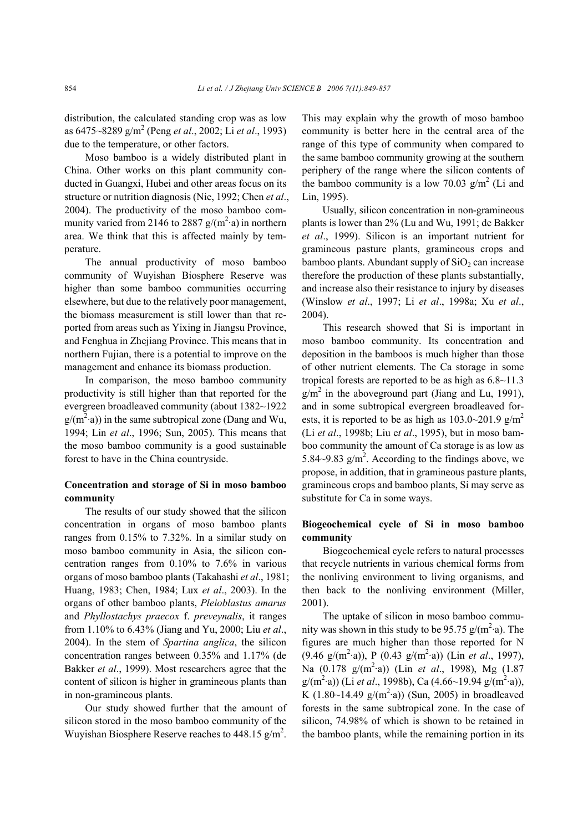distribution, the calculated standing crop was as low as 6475~8289 g/m2 (Peng *et al*., 2002; Li *et al*., 1993) due to the temperature, or other factors.

Moso bamboo is a widely distributed plant in China. Other works on this plant community conducted in Guangxi, Hubei and other areas focus on its structure or nutrition diagnosis (Nie, 1992; Chen *et al*., 2004). The productivity of the moso bamboo community varied from 2146 to 2887  $g/(m^2 \cdot a)$  in northern area. We think that this is affected mainly by temperature.

The annual productivity of moso bamboo community of Wuyishan Biosphere Reserve was higher than some bamboo communities occurring elsewhere, but due to the relatively poor management, the biomass measurement is still lower than that reported from areas such as Yixing in Jiangsu Province, and Fenghua in Zhejiang Province. This means that in northern Fujian, there is a potential to improve on the management and enhance its biomass production.

In comparison, the moso bamboo community productivity is still higher than that reported for the evergreen broadleaved community (about 1382~1922  $g/(m^2 \cdot a)$ ) in the same subtropical zone (Dang and Wu, 1994; Lin *et al*., 1996; Sun, 2005). This means that the moso bamboo community is a good sustainable forest to have in the China countryside.

# **Concentration and storage of Si in moso bamboo community**

The results of our study showed that the silicon concentration in organs of moso bamboo plants ranges from 0.15% to 7.32%. In a similar study on moso bamboo community in Asia, the silicon concentration ranges from 0.10% to 7.6% in various organs of moso bamboo plants (Takahashi *et al*., 1981; Huang, 1983; Chen, 1984; Lux *et al*., 2003). In the organs of other bamboo plants, *Pleioblastus amarus* and *Phyllostachys praecox* f. *preveynalis*, it ranges from 1.10% to 6.43% (Jiang and Yu, 2000; Liu *et al*., 2004). In the stem of *Spartina anglica*, the silicon concentration ranges between 0.35% and 1.17% (de Bakker *et al*., 1999). Most researchers agree that the content of silicon is higher in gramineous plants than in non-gramineous plants.

Our study showed further that the amount of silicon stored in the moso bamboo community of the Wuyishan Biosphere Reserve reaches to 448.15  $g/m^2$ . This may explain why the growth of moso bamboo community is better here in the central area of the range of this type of community when compared to the same bamboo community growing at the southern periphery of the range where the silicon contents of the bamboo community is a low 70.03  $g/m^2$  (Li and Lin, 1995).

Usually, silicon concentration in non-gramineous plants is lower than 2% (Lu and Wu, 1991; de Bakker *et al*., 1999). Silicon is an important nutrient for gramineous pasture plants, gramineous crops and bamboo plants. Abundant supply of  $SiO<sub>2</sub>$  can increase therefore the production of these plants substantially, and increase also their resistance to injury by diseases (Winslow *et al*., 1997; Li *et al*., 1998a; Xu *et al*., 2004).

This research showed that Si is important in moso bamboo community. Its concentration and deposition in the bamboos is much higher than those of other nutrient elements. The Ca storage in some tropical forests are reported to be as high as 6.8~11.3  $g/m^2$  in the aboveground part (Jiang and Lu, 1991), and in some subtropical evergreen broadleaved forests, it is reported to be as high as  $103.0 \sim 201.9$  g/m<sup>2</sup> (Li *et al*., 1998b; Liu e*t al*., 1995), but in moso bamboo community the amount of Ca storage is as low as 5.84~9.83  $g/m^2$ . According to the findings above, we propose, in addition, that in gramineous pasture plants, gramineous crops and bamboo plants, Si may serve as substitute for Ca in some ways.

# **Biogeochemical cycle of Si in moso bamboo community**

Biogeochemical cycle refers to natural processes that recycle nutrients in various chemical forms from the nonliving environment to living organisms, and then back to the nonliving environment (Miller, 2001).

The uptake of silicon in moso bamboo community was shown in this study to be 95.75  $g/(m^2 \cdot a)$ . The figures are much higher than those reported for N  $(9.46 \text{ g/(m}^2 \cdot a))$ , P  $(0.43 \text{ g/(m}^2 \cdot a))$  (Lin *et al.*, 1997), Na (0.178 g/(m2 ·a)) (Lin *et al*., 1998), Mg (1.87  $g/(m^2 \cdot a)$ ) (Li *et al.*, 1998b), Ca (4.66~19.94  $g/(m^2 \cdot a)$ ), K  $(1.80~14.49 \text{ g/(m}^2 \cdot a))$  (Sun, 2005) in broadleaved forests in the same subtropical zone. In the case of silicon, 74.98% of which is shown to be retained in the bamboo plants, while the remaining portion in its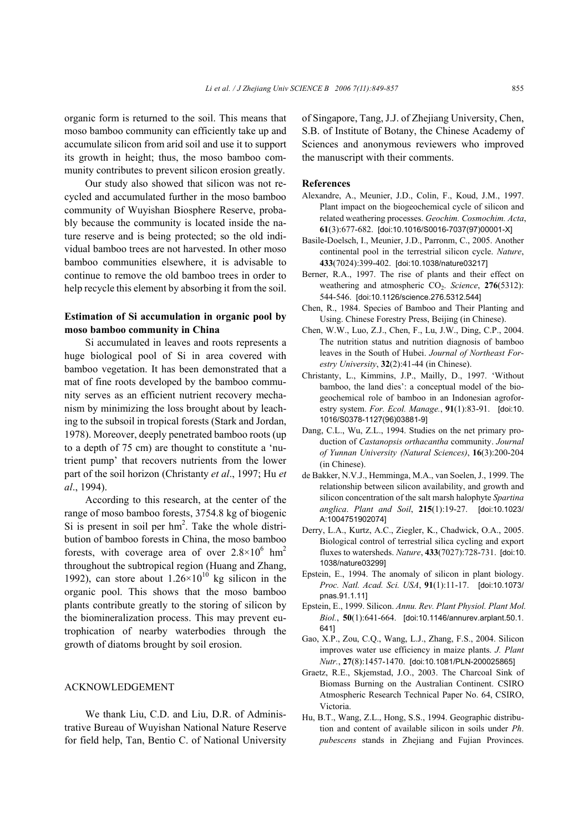organic form is returned to the soil. This means that moso bamboo community can efficiently take up and accumulate silicon from arid soil and use it to support its growth in height; thus, the moso bamboo community contributes to prevent silicon erosion greatly.

Our study also showed that silicon was not recycled and accumulated further in the moso bamboo community of Wuyishan Biosphere Reserve, probably because the community is located inside the nature reserve and is being protected; so the old individual bamboo trees are not harvested. In other moso bamboo communities elsewhere, it is advisable to continue to remove the old bamboo trees in order to help recycle this element by absorbing it from the soil.

# **Estimation of Si accumulation in organic pool by moso bamboo community in China**

Si accumulated in leaves and roots represents a huge biological pool of Si in area covered with bamboo vegetation. It has been demonstrated that a mat of fine roots developed by the bamboo community serves as an efficient nutrient recovery mechanism by minimizing the loss brought about by leaching to the subsoil in tropical forests (Stark and Jordan, 1978). Moreover, deeply penetrated bamboo roots (up to a depth of 75 cm) are thought to constitute a 'nutrient pump' that recovers nutrients from the lower part of the soil horizon (Christanty *et al*., 1997; Hu *et al*., 1994).

According to this research, at the center of the range of moso bamboo forests, 3754.8 kg of biogenic Si is present in soil per  $hm^2$ . Take the whole distribution of bamboo forests in China, the moso bamboo forests, with coverage area of over  $2.8 \times 10^6$  hm<sup>2</sup> throughout the subtropical region (Huang and Zhang, 1992), can store about  $1.26 \times 10^{10}$  kg silicon in the organic pool. This shows that the moso bamboo plants contribute greatly to the storing of silicon by the biomineralization process. This may prevent eutrophication of nearby waterbodies through the growth of diatoms brought by soil erosion.

## ACKNOWLEDGEMENT

We thank Liu, C.D. and Liu, D.R. of Administrative Bureau of Wuyishan National Nature Reserve for field help, Tan, Bentio C. of National University of Singapore, Tang, J.J. of Zhejiang University, Chen, S.B. of Institute of Botany, the Chinese Academy of Sciences and anonymous reviewers who improved the manuscript with their comments.

#### **References**

- Alexandre, A., Meunier, J.D., Colin, F., Koud, J.M., 1997. Plant impact on the biogeochemical cycle of silicon and related weathering processes. *Geochim. Cosmochim. Acta*, **61**(3):677-682. [doi:10.1016/S0016-7037(97)00001-X]
- Basile-Doelsch, I., Meunier, J.D., Parronm, C., 2005. Another continental pool in the terrestrial silicon cycle. *Nature*, **433**(7024):399-402. [doi:10.1038/nature03217]
- Berner, R.A., 1997. The rise of plants and their effect on weathering and atmospheric CO<sub>2</sub>. *Science*, **276**(5312): 544-546. [doi:10.1126/science.276.5312.544]
- Chen, R., 1984. Species of Bamboo and Their Planting and Using. Chinese Forestry Press, Beijing (in Chinese).
- Chen, W.W., Luo, Z.J., Chen, F., Lu, J.W., Ding, C.P., 2004. The nutrition status and nutrition diagnosis of bamboo leaves in the South of Hubei. *Journal of Northeast Forestry University*, **32**(2):41-44 (in Chinese).
- Christanty, L., Kimmins, J.P., Mailly, D., 1997. 'Without bamboo, the land dies': a conceptual model of the biogeochemical role of bamboo in an Indonesian agroforestry system. *For. Ecol. Manage.*, **91**(1):83-91. [doi:10. 1016/S0378-1127(96)03881-9]
- Dang, C.L., Wu, Z.L., 1994. Studies on the net primary production of *Castanopsis orthacantha* community. *Journal of Yunnan University (Natural Sciences)*, **16**(3):200-204 (in Chinese).
- de Bakker, N.V.J., Hemminga, M.A., van Soelen, J., 1999. The relationship between silicon availability, and growth and silicon concentration of the salt marsh halophyte *Spartina anglica*. *Plant and Soil*, **215**(1):19-27. [doi:10.1023/ A:1004751902074]
- Derry, L.A., Kurtz, A.C., Ziegler, K., Chadwick, O.A., 2005. Biological control of terrestrial silica cycling and export fluxes to watersheds. *Nature*, **433**(7027):728-731. [doi:10. 1038/nature03299]
- Epstein, E., 1994. The anomaly of silicon in plant biology. *Proc. Natl. Acad. Sci. USA*, **91**(1):11-17. [doi:10.1073/ pnas.91.1.11]
- Epstein, E., 1999. Silicon. *Annu. Rev. Plant Physiol. Plant Mol. Biol.*, **50**(1):641-664. [doi:10.1146/annurev.arplant.50.1. 641]
- Gao, X.P., Zou, C.Q., Wang, L.J., Zhang, F.S., 2004. Silicon improves water use efficiency in maize plants. *J. Plant Nutr.*, **27**(8):1457-1470. [doi:10.1081/PLN-200025865]
- Graetz, R.E., Skjemstad, J.O., 2003. The Charcoal Sink of Biomass Burning on the Australian Continent. CSIRO Atmospheric Research Technical Paper No. 64, CSIRO, Victoria.
- Hu, B.T., Wang, Z.L., Hong, S.S., 1994. Geographic distribution and content of available silicon in soils under *Ph*. *pubescens* stands in Zhejiang and Fujian Provinces.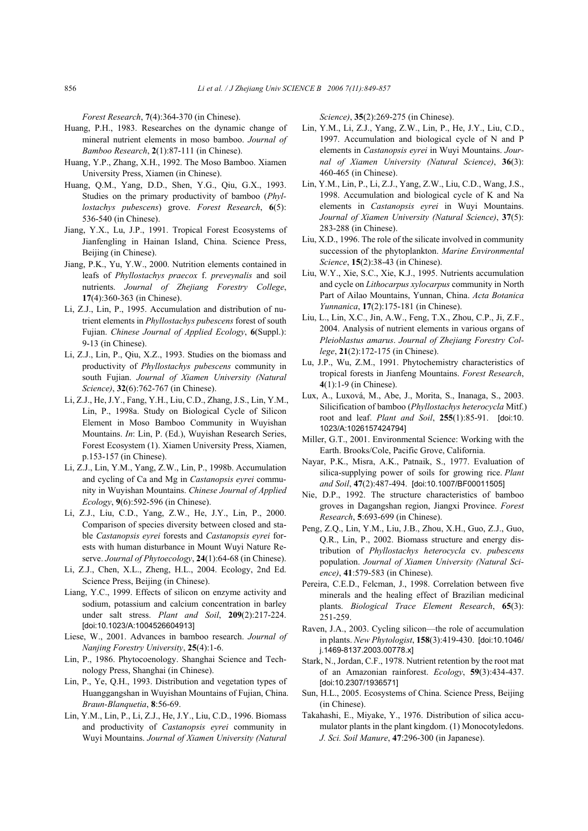*Forest Research*, **7**(4):364-370 (in Chinese).

- Huang, P.H., 1983. Researches on the dynamic change of mineral nutrient elements in moso bamboo. *Journal of Bamboo Research*, **2**(1):87-111 (in Chinese).
- Huang, Y.P., Zhang, X.H., 1992. The Moso Bamboo. Xiamen University Press, Xiamen (in Chinese).
- Huang, Q.M., Yang, D.D., Shen, Y.G., Qiu, G.X., 1993. Studies on the primary productivity of bamboo (*Phyllostachys pubescens*) grove. *Forest Research*, **6**(5): 536-540 (in Chinese).
- Jiang, Y.X., Lu, J.P., 1991. Tropical Forest Ecosystems of Jianfengling in Hainan Island, China. Science Press, Beijing (in Chinese).
- Jiang, P.K., Yu, Y.W., 2000. Nutrition elements contained in leafs of *Phyllostachys praecox* f. *preveynalis* and soil nutrients. *Journal of Zhejiang Forestry College*, **17**(4):360-363 (in Chinese).
- Li, Z.J., Lin, P., 1995. Accumulation and distribution of nutrient elements in *Phyllostachys pubescens* forest of south Fujian. *Chinese Journal of Applied Ecology*, **6**(Suppl.): 9-13 (in Chinese).
- Li, Z.J., Lin, P., Qiu, X.Z., 1993. Studies on the biomass and productivity of *Phyllostachys pubescens* community in south Fujian. *Journal of Xiamen University (Natural Science)*, **32**(6):762-767 (in Chinese).
- Li, Z.J., He, J.Y., Fang, Y.H., Liu, C.D., Zhang, J.S., Lin, Y.M., Lin, P., 1998a. Study on Biological Cycle of Silicon Element in Moso Bamboo Community in Wuyishan Mountains. *In*: Lin, P. (Ed.), Wuyishan Research Series, Forest Ecosystem (1). Xiamen University Press, Xiamen, p.153-157 (in Chinese).
- Li, Z.J., Lin, Y.M., Yang, Z.W., Lin, P., 1998b. Accumulation and cycling of Ca and Mg in *Castanopsis eyrei* community in Wuyishan Mountains. *Chinese Journal of Applied Ecology*, **9**(6):592-596 (in Chinese).
- Li, Z.J., Liu, C.D., Yang, Z.W., He, J.Y., Lin, P., 2000. Comparison of species diversity between closed and stable *Castanopsis eyrei* forests and *Castanopsis eyrei* forests with human disturbance in Mount Wuyi Nature Reserve. *Journal of Phytoecology*, **24**(1):64-68 (in Chinese).
- Li, Z.J., Chen, X.L., Zheng, H.L., 2004. Ecology, 2nd Ed. Science Press, Beijing (in Chinese).
- Liang, Y.C., 1999. Effects of silicon on enzyme activity and sodium, potassium and calcium concentration in barley under salt stress. *Plant and Soil*, **209**(2):217-224. [doi:10.1023/A:1004526604913]
- Liese, W., 2001. Advances in bamboo research. *Journal of Nanjing Forestry University*, **25**(4):1-6.
- Lin, P., 1986. Phytocoenology. Shanghai Science and Technology Press, Shanghai (in Chinese).
- Lin, P., Ye, Q.H., 1993. Distribution and vegetation types of Huanggangshan in Wuyishan Mountains of Fujian, China. *Braun-Blanquetia*, **8**:56-69.
- Lin, Y.M., Lin, P., Li, Z.J., He, J.Y., Liu, C.D., 1996. Biomass and productivity of *Castanopsis eyrei* community in Wuyi Mountains. *Journal of Xiamen University (Natural*

*Science)*, **35**(2):269-275 (in Chinese).

- Lin, Y.M., Li, Z.J., Yang, Z.W., Lin, P., He, J.Y., Liu, C.D., 1997. Accumulation and biological cycle of N and P elements in *Castanopsis eyrei* in Wuyi Mountains. *Journal of Xiamen University (Natural Science)*, **36**(3): 460-465 (in Chinese).
- Lin, Y.M., Lin, P., Li, Z.J., Yang, Z.W., Liu, C.D., Wang, J.S., 1998. Accumulation and biological cycle of K and Na elements in *Castanopsis eyrei* in Wuyi Mountains. *Journal of Xiamen University (Natural Science)*, **37**(5): 283-288 (in Chinese).
- Liu, X.D., 1996. The role of the silicate involved in community succession of the phytoplankton. *Marine Environmental Science*, **15**(2):38-43 (in Chinese).
- Liu, W.Y., Xie, S.C., Xie, K.J., 1995. Nutrients accumulation and cycle on *Lithocarpus xylocarpus* community in North Part of Ailao Mountains, Yunnan, China. *Acta Botanica Yunnanica*, **17**(2):175-181 (in Chinese).
- Liu, L., Lin, X.C., Jin, A.W., Feng, T.X., Zhou, C.P., Ji, Z.F., 2004. Analysis of nutrient elements in various organs of *Pleioblastus amarus*. *Journal of Zhejiang Forestry College*, **21**(2):172-175 (in Chinese).
- Lu, J.P., Wu, Z.M., 1991. Phytochemistry characteristics of tropical forests in Jianfeng Mountains. *Forest Research*, **4**(1):1-9 (in Chinese).
- Lux, A., Luxová, M., Abe, J., Morita, S., Inanaga, S., 2003. Silicification of bamboo (*Phyllostachys heterocycla* Mitf.) root and leaf. *Plant and Soil*, **255**(1):85-91. [doi:10. 1023/A:1026157424794]
- Miller, G.T., 2001. Environmental Science: Working with the Earth. Brooks/Cole, Pacific Grove, California.
- Nayar, P.K., Misra, A.K., Patnaik, S., 1977. Evaluation of silica-supplying power of soils for growing rice. *Plant and Soil*, **47**(2):487-494. [doi:10.1007/BF00011505]
- Nie, D.P., 1992. The structure characteristics of bamboo groves in Dagangshan region, Jiangxi Province. *Forest Research*, **5**:693-699 (in Chinese).
- Peng, Z.Q., Lin, Y.M., Liu, J.B., Zhou, X.H., Guo, Z.J., Guo, Q.R., Lin, P., 2002. Biomass structure and energy distribution of *Phyllostachys heterocycla* cv. *pubescens* population. *Journal of Xiamen University (Natural Science)*, **41**:579-583 (in Chinese).
- Pereira, C.E.D., Felcman, J., 1998. Correlation between five minerals and the healing effect of Brazilian medicinal plants. *Biological Trace Element Research*, **65**(3): 251-259.
- Raven, J.A., 2003. Cycling silicon—the role of accumulation in plants. *New Phytologist*, **158**(3):419-430. [doi:10.1046/ j.1469-8137.2003.00778.x]
- Stark, N., Jordan, C.F., 1978. Nutrient retention by the root mat of an Amazonian rainforest. *Ecology*, **59**(3):434-437. [doi:10.2307/1936571]
- Sun, H.L., 2005. Ecosystems of China. Science Press, Beijing (in Chinese).
- Takahashi, E., Miyake, Y., 1976. Distribution of silica accumulator plants in the plant kingdom. (1) Monocotyledons. *J. Sci. Soil Manure*, **47**:296-300 (in Japanese).